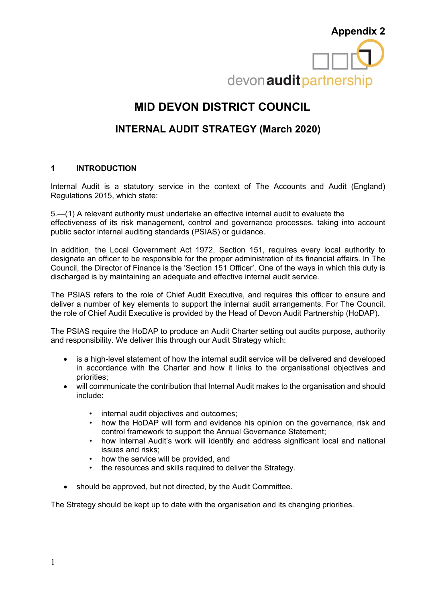# **MID DEVON DISTRICT COUNCIL**

# **INTERNAL AUDIT STRATEGY (March 2020)**

# **1 INTRODUCTION**

Internal Audit is a statutory service in the context of The Accounts and Audit (England) Regulations 2015, which state:

5.—(1) A relevant authority must undertake an effective internal audit to evaluate the effectiveness of its risk management, control and governance processes, taking into account public sector internal auditing standards (PSIAS) or guidance.

In addition, the Local Government Act 1972, Section 151, requires every local authority to designate an officer to be responsible for the proper administration of its financial affairs. In The Council, the Director of Finance is the 'Section 151 Officer'. One of the ways in which this duty is discharged is by maintaining an adequate and effective internal audit service.

The PSIAS refers to the role of Chief Audit Executive, and requires this officer to ensure and deliver a number of key elements to support the internal audit arrangements. For The Council, the role of Chief Audit Executive is provided by the Head of Devon Audit Partnership (HoDAP).

The PSIAS require the HoDAP to produce an Audit Charter setting out audits purpose, authority and responsibility. We deliver this through our Audit Strategy which:

- is a high-level statement of how the internal audit service will be delivered and developed in accordance with the Charter and how it links to the organisational objectives and priorities;
- will communicate the contribution that Internal Audit makes to the organisation and should include:
	- internal audit objectives and outcomes;
	- how the HoDAP will form and evidence his opinion on the governance, risk and control framework to support the Annual Governance Statement;
	- how Internal Audit's work will identify and address significant local and national issues and risks;
	- how the service will be provided, and
	- the resources and skills required to deliver the Strategy.
- should be approved, but not directed, by the Audit Committee.

The Strategy should be kept up to date with the organisation and its changing priorities.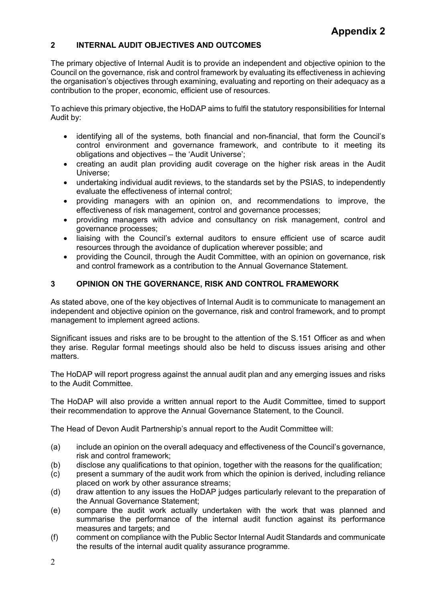# **2 INTERNAL AUDIT OBJECTIVES AND OUTCOMES**

The primary objective of Internal Audit is to provide an independent and objective opinion to the Council on the governance, risk and control framework by evaluating its effectiveness in achieving the organisation's objectives through examining, evaluating and reporting on their adequacy as a contribution to the proper, economic, efficient use of resources.

To achieve this primary objective, the HoDAP aims to fulfil the statutory responsibilities for Internal Audit by:

- identifying all of the systems, both financial and non-financial, that form the Council's control environment and governance framework, and contribute to it meeting its obligations and objectives – the 'Audit Universe';
- creating an audit plan providing audit coverage on the higher risk areas in the Audit Universe;
- undertaking individual audit reviews, to the standards set by the PSIAS, to independently evaluate the effectiveness of internal control;
- providing managers with an opinion on, and recommendations to improve, the effectiveness of risk management, control and governance processes;
- providing managers with advice and consultancy on risk management, control and governance processes;
- liaising with the Council's external auditors to ensure efficient use of scarce audit resources through the avoidance of duplication wherever possible; and
- providing the Council, through the Audit Committee, with an opinion on governance, risk and control framework as a contribution to the Annual Governance Statement.

# **3 OPINION ON THE GOVERNANCE, RISK AND CONTROL FRAMEWORK**

As stated above, one of the key objectives of Internal Audit is to communicate to management an independent and objective opinion on the governance, risk and control framework, and to prompt management to implement agreed actions.

Significant issues and risks are to be brought to the attention of the S.151 Officer as and when they arise. Regular formal meetings should also be held to discuss issues arising and other matters.

The HoDAP will report progress against the annual audit plan and any emerging issues and risks to the Audit Committee.

The HoDAP will also provide a written annual report to the Audit Committee, timed to support their recommendation to approve the Annual Governance Statement, to the Council.

The Head of Devon Audit Partnership's annual report to the Audit Committee will:

- (a) include an opinion on the overall adequacy and effectiveness of the Council's governance, risk and control framework;
- (b) disclose any qualifications to that opinion, together with the reasons for the qualification;
- (c) present a summary of the audit work from which the opinion is derived, including reliance placed on work by other assurance streams;
- (d) draw attention to any issues the HoDAP judges particularly relevant to the preparation of the Annual Governance Statement;
- (e) compare the audit work actually undertaken with the work that was planned and summarise the performance of the internal audit function against its performance measures and targets; and
- (f) comment on compliance with the Public Sector Internal Audit Standards and communicate the results of the internal audit quality assurance programme.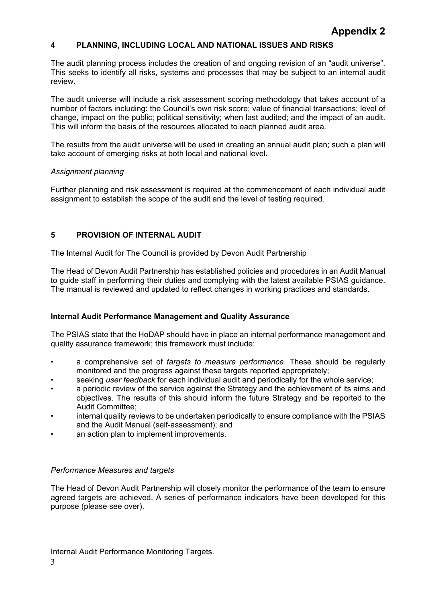# **4 PLANNING, INCLUDING LOCAL AND NATIONAL ISSUES AND RISKS**

The audit planning process includes the creation of and ongoing revision of an "audit universe". This seeks to identify all risks, systems and processes that may be subject to an internal audit review.

The audit universe will include a risk assessment scoring methodology that takes account of a number of factors including: the Council's own risk score; value of financial transactions; level of change, impact on the public; political sensitivity; when last audited; and the impact of an audit. This will inform the basis of the resources allocated to each planned audit area.

The results from the audit universe will be used in creating an annual audit plan; such a plan will take account of emerging risks at both local and national level.

### *Assignment planning*

Further planning and risk assessment is required at the commencement of each individual audit assignment to establish the scope of the audit and the level of testing required.

### **5 PROVISION OF INTERNAL AUDIT**

The Internal Audit for The Council is provided by Devon Audit Partnership

The Head of Devon Audit Partnership has established policies and procedures in an Audit Manual to guide staff in performing their duties and complying with the latest available PSIAS guidance. The manual is reviewed and updated to reflect changes in working practices and standards.

### **Internal Audit Performance Management and Quality Assurance**

The PSIAS state that the HoDAP should have in place an internal performance management and quality assurance framework; this framework must include:

- a comprehensive set of *targets to measure performance*. These should be regularly monitored and the progress against these targets reported appropriately;
- seeking *user feedback* for each individual audit and periodically for the whole service;
- a periodic review of the service against the Strategy and the achievement of its aims and objectives. The results of this should inform the future Strategy and be reported to the Audit Committee;
- internal quality reviews to be undertaken periodically to ensure compliance with the PSIAS and the Audit Manual (self-assessment); and
- an action plan to implement improvements.

### *Performance Measures and targets*

The Head of Devon Audit Partnership will closely monitor the performance of the team to ensure agreed targets are achieved. A series of performance indicators have been developed for this purpose (please see over).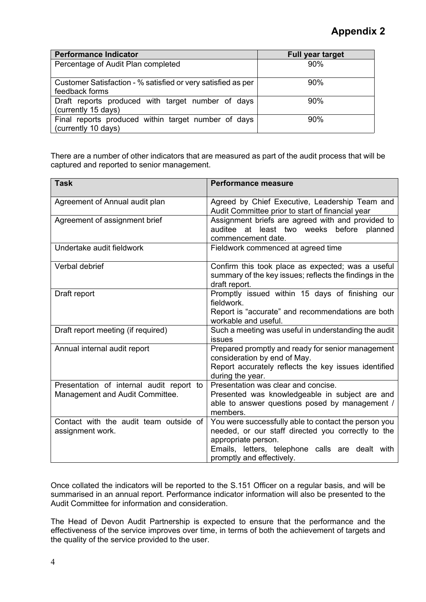| <b>Performance Indicator</b>                                        | <b>Full year target</b> |
|---------------------------------------------------------------------|-------------------------|
| Percentage of Audit Plan completed                                  | 90%                     |
|                                                                     |                         |
| Customer Satisfaction - % satisfied or very satisfied as per<br>90% |                         |
| feedback forms                                                      |                         |
| Draft reports produced with target number of days                   | 90%                     |
| (currently 15 days)                                                 |                         |
| Final reports produced within target number of days                 | 90%                     |
| (currently 10 days)                                                 |                         |

There are a number of other indicators that are measured as part of the audit process that will be captured and reported to senior management.

| <b>Task</b>                                                                 | <b>Performance measure</b>                                                                                                                                                                                        |
|-----------------------------------------------------------------------------|-------------------------------------------------------------------------------------------------------------------------------------------------------------------------------------------------------------------|
| Agreement of Annual audit plan                                              | Agreed by Chief Executive, Leadership Team and<br>Audit Committee prior to start of financial year                                                                                                                |
| Agreement of assignment brief                                               | Assignment briefs are agreed with and provided to<br>auditee at least two weeks before planned<br>commencement date.                                                                                              |
| Undertake audit fieldwork                                                   | Fieldwork commenced at agreed time                                                                                                                                                                                |
| Verbal debrief                                                              | Confirm this took place as expected; was a useful<br>summary of the key issues; reflects the findings in the<br>draft report.                                                                                     |
| Draft report                                                                | Promptly issued within 15 days of finishing our<br>fieldwork.<br>Report is "accurate" and recommendations are both<br>workable and useful.                                                                        |
| Draft report meeting (if required)                                          | Such a meeting was useful in understanding the audit<br>issues                                                                                                                                                    |
| Annual internal audit report                                                | Prepared promptly and ready for senior management<br>consideration by end of May.<br>Report accurately reflects the key issues identified<br>during the year.                                                     |
| Presentation of internal audit report to<br>Management and Audit Committee. | Presentation was clear and concise.<br>Presented was knowledgeable in subject are and<br>able to answer questions posed by management /<br>members.                                                               |
| Contact with the audit team outside of<br>assignment work.                  | You were successfully able to contact the person you<br>needed, or our staff directed you correctly to the<br>appropriate person.<br>Emails, letters, telephone calls are dealt with<br>promptly and effectively. |

Once collated the indicators will be reported to the S.151 Officer on a regular basis, and will be summarised in an annual report. Performance indicator information will also be presented to the Audit Committee for information and consideration.

The Head of Devon Audit Partnership is expected to ensure that the performance and the effectiveness of the service improves over time, in terms of both the achievement of targets and the quality of the service provided to the user.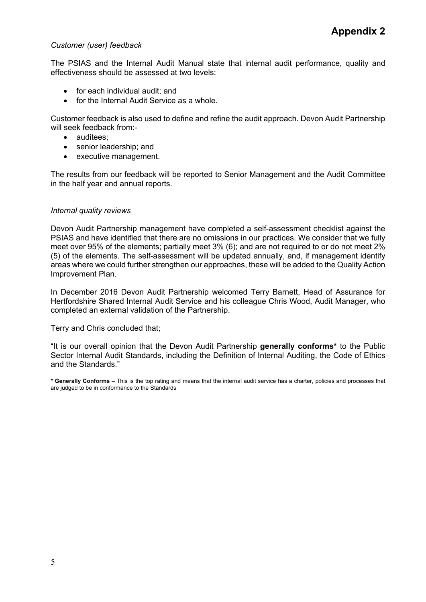### *Customer (user) feedback*

The PSIAS and the Internal Audit Manual state that internal audit performance, quality and effectiveness should be assessed at two levels:

- for each individual audit; and
- for the Internal Audit Service as a whole.

Customer feedback is also used to define and refine the audit approach. Devon Audit Partnership will seek feedback from:-

- auditees:
- senior leadership; and
- executive management.

The results from our feedback will be reported to Senior Management and the Audit Committee in the half year and annual reports.

#### *Internal quality reviews*

Devon Audit Partnership management have completed a self-assessment checklist against the PSIAS and have identified that there are no omissions in our practices. We consider that we fully meet over 95% of the elements; partially meet 3% (6); and are not required to or do not meet 2% (5) of the elements. The self-assessment will be updated annually, and, if management identify areas where we could further strengthen our approaches, these will be added to the Quality Action Improvement Plan.

In December 2016 Devon Audit Partnership welcomed Terry Barnett, Head of Assurance for Hertfordshire Shared Internal Audit Service and his colleague Chris Wood, Audit Manager, who completed an external validation of the Partnership.

#### Terry and Chris concluded that;

"It is our overall opinion that the Devon Audit Partnership **generally conforms\*** to the Public Sector Internal Audit Standards, including the Definition of Internal Auditing, the Code of Ethics and the Standards."

**\* Generally Conforms** – This is the top rating and means that the internal audit service has a charter, policies and processes that are judged to be in conformance to the Standards